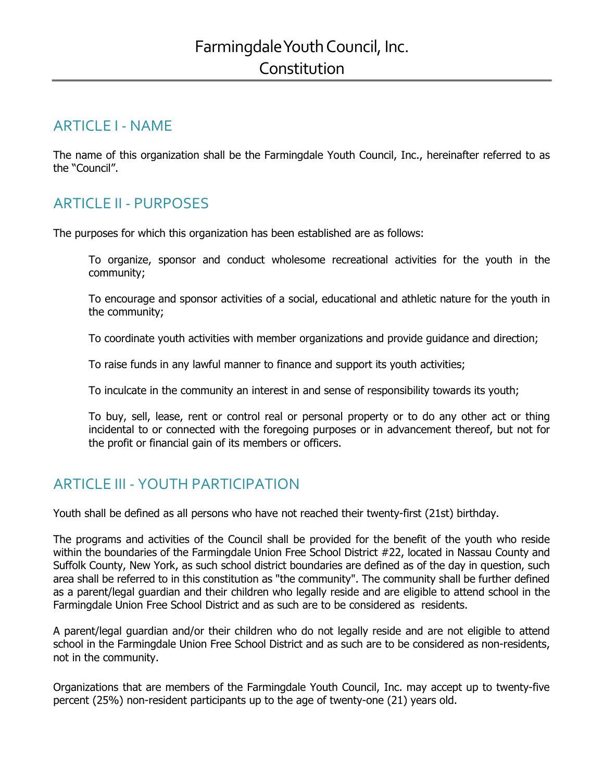## ARTICLE I - NAME

The name of this organization shall be the Farmingdale Youth Council, Inc., hereinafter referred to as the "Council".

# ARTICLE II - PURPOSES

The purposes for which this organization has been established are as follows:

To organize, sponsor and conduct wholesome recreational activities for the youth in the community;

To encourage and sponsor activities of a social, educational and athletic nature for the youth in the community;

To coordinate youth activities with member organizations and provide guidance and direction;

To raise funds in any lawful manner to finance and support its youth activities;

To inculcate in the community an interest in and sense of responsibility towards its youth;

To buy, sell, lease, rent or control real or personal property or to do any other act or thing incidental to or connected with the foregoing purposes or in advancement thereof, but not for the profit or financial gain of its members or officers.

# ARTICLE III - YOUTH PARTICIPATION

Youth shall be defined as all persons who have not reached their twenty-first (21st) birthday.

The programs and activities of the Council shall be provided for the benefit of the youth who reside within the boundaries of the Farmingdale Union Free School District #22, located in Nassau County and Suffolk County, New York, as such school district boundaries are defined as of the day in question, such area shall be referred to in this constitution as "the community". The community shall be further defined as a parent/legal guardian and their children who legally reside and are eligible to attend school in the Farmingdale Union Free School District and as such are to be considered as residents.

A parent/legal guardian and/or their children who do not legally reside and are not eligible to attend school in the Farmingdale Union Free School District and as such are to be considered as non-residents, not in the community.

Organizations that are members of the Farmingdale Youth Council, Inc. may accept up to twenty-five percent (25%) non-resident participants up to the age of twenty-one (21) years old.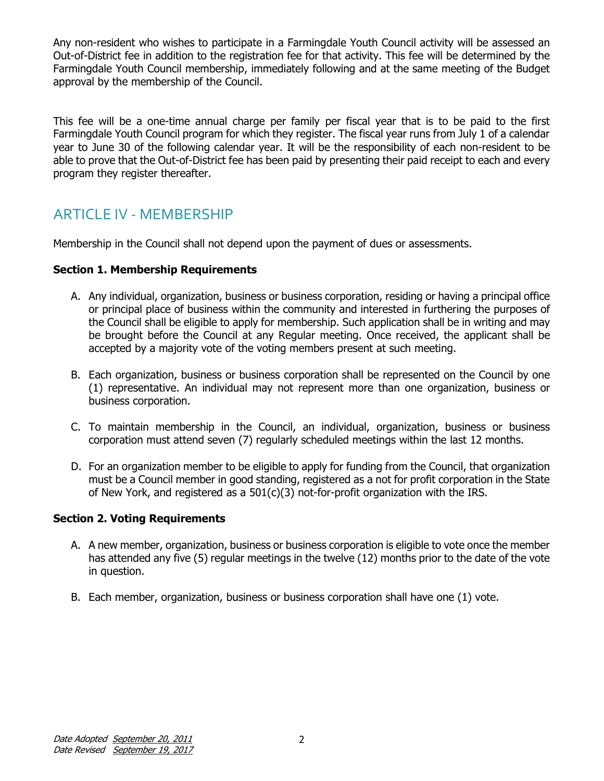Any non-resident who wishes to participate in a Farmingdale Youth Council activity will be assessed an Out-of-District fee in addition to the registration fee for that activity. This fee will be determined by the Farmingdale Youth Council membership, immediately following and at the same meeting of the Budget approval by the membership of the Council.

This fee will be a one-time annual charge per family per fiscal year that is to be paid to the first Farmingdale Youth Council program for which they register. The fiscal year runs from July 1 of a calendar year to June 30 of the following calendar year. It will be the responsibility of each non-resident to be able to prove that the Out-of-District fee has been paid by presenting their paid receipt to each and every program they register thereafter.

## ARTICLE IV - MEMBERSHIP

Membership in the Council shall not depend upon the payment of dues or assessments.

#### Section 1. Membership Requirements

- A. Any individual, organization, business or business corporation, residing or having a principal office or principal place of business within the community and interested in furthering the purposes of the Council shall be eligible to apply for membership. Such application shall be in writing and may be brought before the Council at any Regular meeting. Once received, the applicant shall be accepted by a majority vote of the voting members present at such meeting.
- B. Each organization, business or business corporation shall be represented on the Council by one (1) representative. An individual may not represent more than one organization, business or business corporation.
- C. To maintain membership in the Council, an individual, organization, business or business corporation must attend seven (7) regularly scheduled meetings within the last 12 months.
- D. For an organization member to be eligible to apply for funding from the Council, that organization must be a Council member in good standing, registered as a not for profit corporation in the State of New York, and registered as a  $501(c)(3)$  not-for-profit organization with the IRS.

## Section 2. Voting Requirements

- A. A new member, organization, business or business corporation is eligible to vote once the member has attended any five (5) regular meetings in the twelve (12) months prior to the date of the vote in question.
- B. Each member, organization, business or business corporation shall have one (1) vote.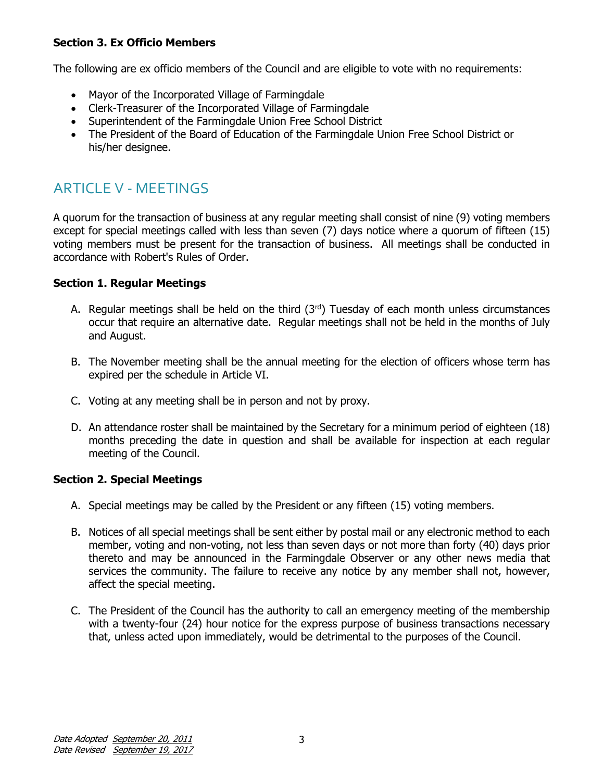## Section 3. Ex Officio Members

The following are ex officio members of the Council and are eligible to vote with no requirements:

- Mayor of the Incorporated Village of Farmingdale
- Clerk-Treasurer of the Incorporated Village of Farmingdale
- Superintendent of the Farmingdale Union Free School District
- The President of the Board of Education of the Farmingdale Union Free School District or his/her designee.

# ARTICLE V - MEETINGS

A quorum for the transaction of business at any regular meeting shall consist of nine (9) voting members except for special meetings called with less than seven (7) days notice where a quorum of fifteen (15) voting members must be present for the transaction of business. All meetings shall be conducted in accordance with Robert's Rules of Order.

## Section 1. Regular Meetings

- A. Regular meetings shall be held on the third  $(3<sup>rd</sup>)$  Tuesday of each month unless circumstances occur that require an alternative date. Regular meetings shall not be held in the months of July and August.
- B. The November meeting shall be the annual meeting for the election of officers whose term has expired per the schedule in Article VI.
- C. Voting at any meeting shall be in person and not by proxy.
- D. An attendance roster shall be maintained by the Secretary for a minimum period of eighteen (18) months preceding the date in question and shall be available for inspection at each regular meeting of the Council.

#### Section 2. Special Meetings

- A. Special meetings may be called by the President or any fifteen (15) voting members.
- B. Notices of all special meetings shall be sent either by postal mail or any electronic method to each member, voting and non-voting, not less than seven days or not more than forty (40) days prior thereto and may be announced in the Farmingdale Observer or any other news media that services the community. The failure to receive any notice by any member shall not, however, affect the special meeting.
- C. The President of the Council has the authority to call an emergency meeting of the membership with a twenty-four (24) hour notice for the express purpose of business transactions necessary that, unless acted upon immediately, would be detrimental to the purposes of the Council.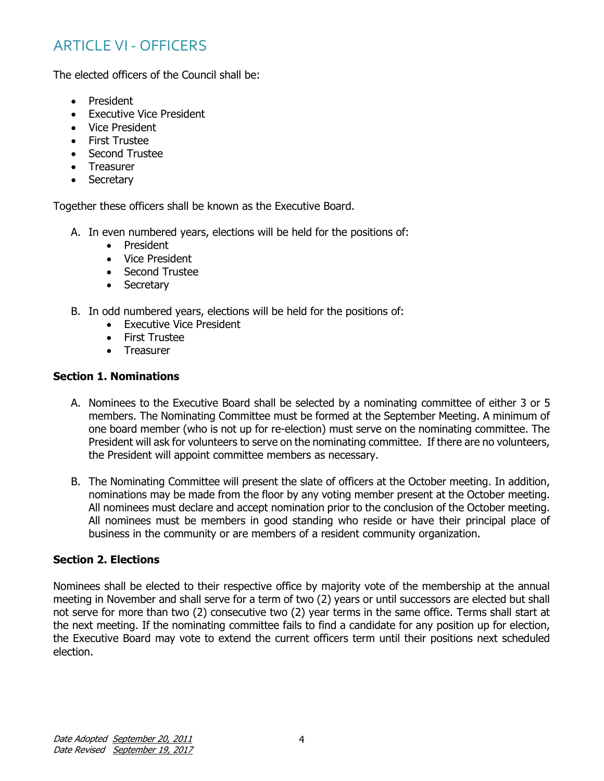# ARTICLE VI - OFFICERS

The elected officers of the Council shall be:

- President
- Executive Vice President
- Vice President
- First Trustee
- Second Trustee
- Treasurer
- Secretary

Together these officers shall be known as the Executive Board.

- A. In even numbered years, elections will be held for the positions of:
	- President
	- Vice President
	- Second Trustee
	- Secretary
- B. In odd numbered years, elections will be held for the positions of:
	- Executive Vice President
	- First Trustee
	- Treasurer

## Section 1. Nominations

- A. Nominees to the Executive Board shall be selected by a nominating committee of either 3 or 5 members. The Nominating Committee must be formed at the September Meeting. A minimum of one board member (who is not up for re-election) must serve on the nominating committee. The President will ask for volunteers to serve on the nominating committee. If there are no volunteers, the President will appoint committee members as necessary.
- B. The Nominating Committee will present the slate of officers at the October meeting. In addition, nominations may be made from the floor by any voting member present at the October meeting. All nominees must declare and accept nomination prior to the conclusion of the October meeting. All nominees must be members in good standing who reside or have their principal place of business in the community or are members of a resident community organization.

## Section 2. Elections

Nominees shall be elected to their respective office by majority vote of the membership at the annual meeting in November and shall serve for a term of two (2) years or until successors are elected but shall not serve for more than two (2) consecutive two (2) year terms in the same office. Terms shall start at the next meeting. If the nominating committee fails to find a candidate for any position up for election, the Executive Board may vote to extend the current officers term until their positions next scheduled election.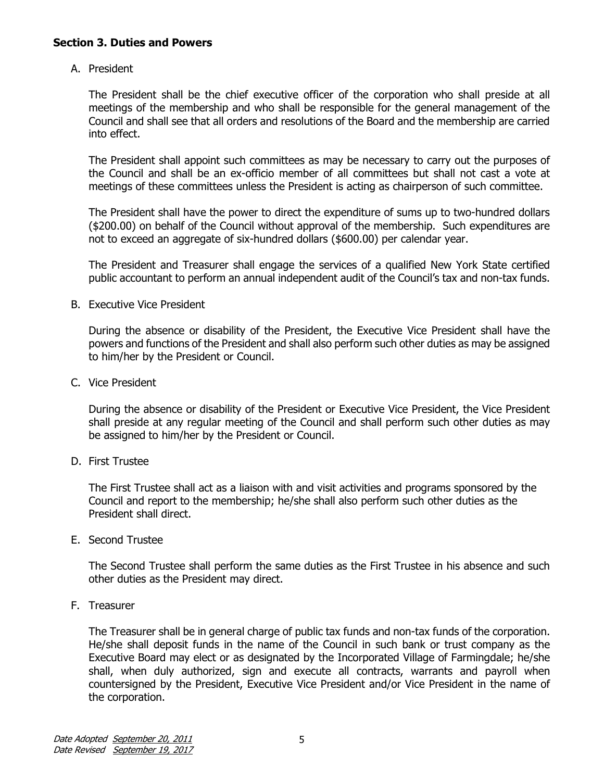#### Section 3. Duties and Powers

A. President

The President shall be the chief executive officer of the corporation who shall preside at all meetings of the membership and who shall be responsible for the general management of the Council and shall see that all orders and resolutions of the Board and the membership are carried into effect.

The President shall appoint such committees as may be necessary to carry out the purposes of the Council and shall be an ex-officio member of all committees but shall not cast a vote at meetings of these committees unless the President is acting as chairperson of such committee.

The President shall have the power to direct the expenditure of sums up to two-hundred dollars (\$200.00) on behalf of the Council without approval of the membership. Such expenditures are not to exceed an aggregate of six-hundred dollars (\$600.00) per calendar year.

The President and Treasurer shall engage the services of a qualified New York State certified public accountant to perform an annual independent audit of the Council's tax and non-tax funds.

B. Executive Vice President

During the absence or disability of the President, the Executive Vice President shall have the powers and functions of the President and shall also perform such other duties as may be assigned to him/her by the President or Council.

C. Vice President

During the absence or disability of the President or Executive Vice President, the Vice President shall preside at any regular meeting of the Council and shall perform such other duties as may be assigned to him/her by the President or Council.

D. First Trustee

The First Trustee shall act as a liaison with and visit activities and programs sponsored by the Council and report to the membership; he/she shall also perform such other duties as the President shall direct.

E. Second Trustee

The Second Trustee shall perform the same duties as the First Trustee in his absence and such other duties as the President may direct.

F. Treasurer

The Treasurer shall be in general charge of public tax funds and non-tax funds of the corporation. He/she shall deposit funds in the name of the Council in such bank or trust company as the Executive Board may elect or as designated by the Incorporated Village of Farmingdale; he/she shall, when duly authorized, sign and execute all contracts, warrants and payroll when countersigned by the President, Executive Vice President and/or Vice President in the name of the corporation.